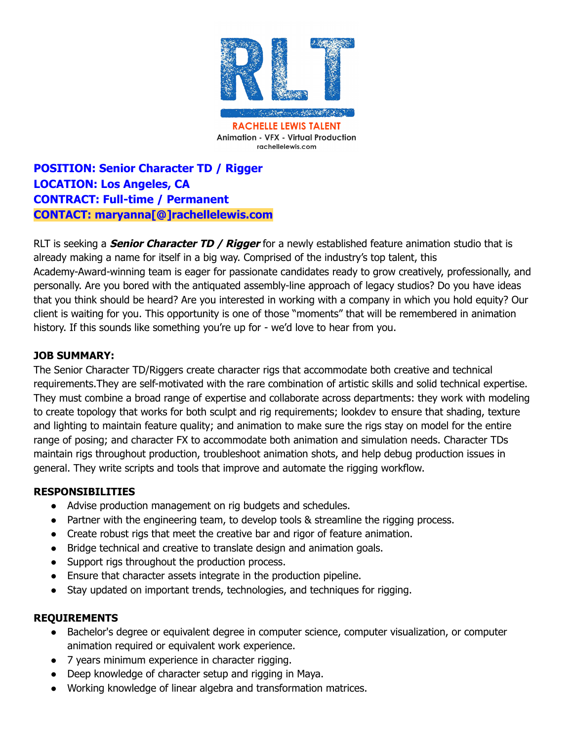

**POSITION: Senior Character TD / Rigger LOCATION: Los Angeles, CA CONTRACT: Full-time / Permanent CONTACT: maryanna[@]rachellelewis.com**

RLT is seeking a **Senior Character TD / Rigger** for a newly established feature animation studio that is already making a name for itself in a big way. Comprised of the industry's top talent, this Academy-Award-winning team is eager for passionate candidates ready to grow creatively, professionally, and personally. Are you bored with the antiquated assembly-line approach of legacy studios? Do you have ideas that you think should be heard? Are you interested in working with a company in which you hold equity? Our client is waiting for you. This opportunity is one of those "moments" that will be remembered in animation history. If this sounds like something you're up for - we'd love to hear from you.

## **JOB SUMMARY:**

The Senior Character TD/Riggers create character rigs that accommodate both creative and technical requirements.They are self-motivated with the rare combination of artistic skills and solid technical expertise. They must combine a broad range of expertise and collaborate across departments: they work with modeling to create topology that works for both sculpt and rig requirements; lookdev to ensure that shading, texture and lighting to maintain feature quality; and animation to make sure the rigs stay on model for the entire range of posing; and character FX to accommodate both animation and simulation needs. Character TDs maintain rigs throughout production, troubleshoot animation shots, and help debug production issues in general. They write scripts and tools that improve and automate the rigging workflow.

## **RESPONSIBILITIES**

- Advise production management on rig budgets and schedules.
- Partner with the engineering team, to develop tools & streamline the rigging process.
- Create robust rigs that meet the creative bar and rigor of feature animation.
- Bridge technical and creative to translate design and animation goals.
- Support rigs throughout the production process.
- Ensure that character assets integrate in the production pipeline.
- Stay updated on important trends, technologies, and techniques for rigging.

## **REQUIREMENTS**

- Bachelor's degree or equivalent degree in computer science, computer visualization, or computer animation required or equivalent work experience.
- 7 years minimum experience in character rigging.
- Deep knowledge of character setup and rigging in Maya.
- Working knowledge of linear algebra and transformation matrices.